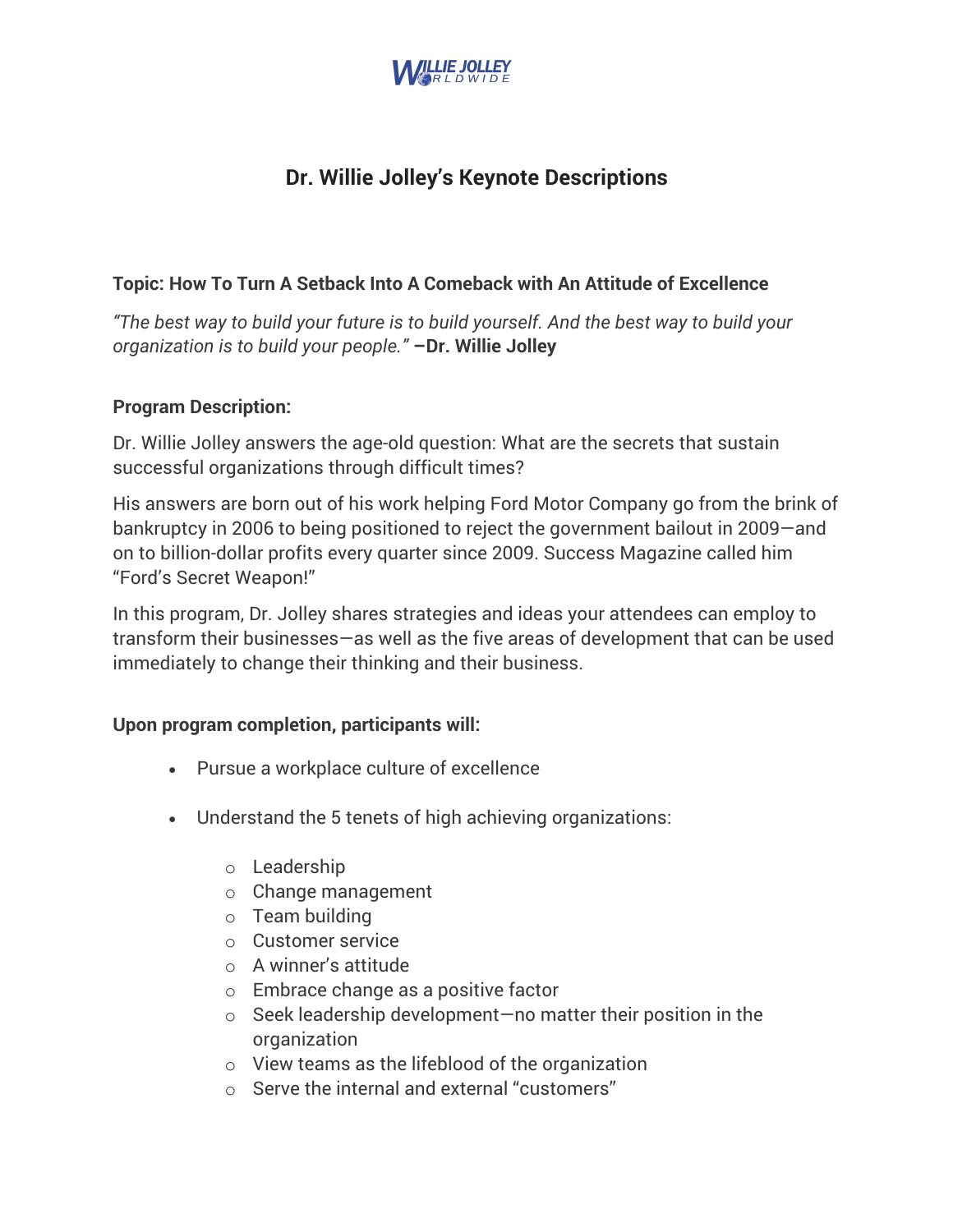

# **Dr. Willie Jolley's Keynote Descriptions**

# **Topic: How To Turn A Setback Into A Comeback with An Attitude of Excellence**

*"The best way to build your future is to build yourself. And the best way to build your organization is to build your people."* **–Dr. Willie Jolley**

## **Program Description:**

Dr. Willie Jolley answers the age-old question: What are the secrets that sustain successful organizations through difficult times?

His answers are born out of his work helping Ford Motor Company go from the brink of bankruptcy in 2006 to being positioned to reject the government bailout in 2009—and on to billion-dollar profits every quarter since 2009. Success Magazine called him "Ford's Secret Weapon!"

In this program, Dr. Jolley shares strategies and ideas your attendees can employ to transform their businesses—as well as the five areas of development that can be used immediately to change their thinking and their business.

## **Upon program completion, participants will:**

- Pursue a workplace culture of excellence
- Understand the 5 tenets of high achieving organizations:
	- o Leadership
	- o Change management
	- o Team building
	- o Customer service
	- o A winner's attitude
	- o Embrace change as a positive factor
	- o Seek leadership development—no matter their position in the organization
	- o View teams as the lifeblood of the organization
	- o Serve the internal and external "customers"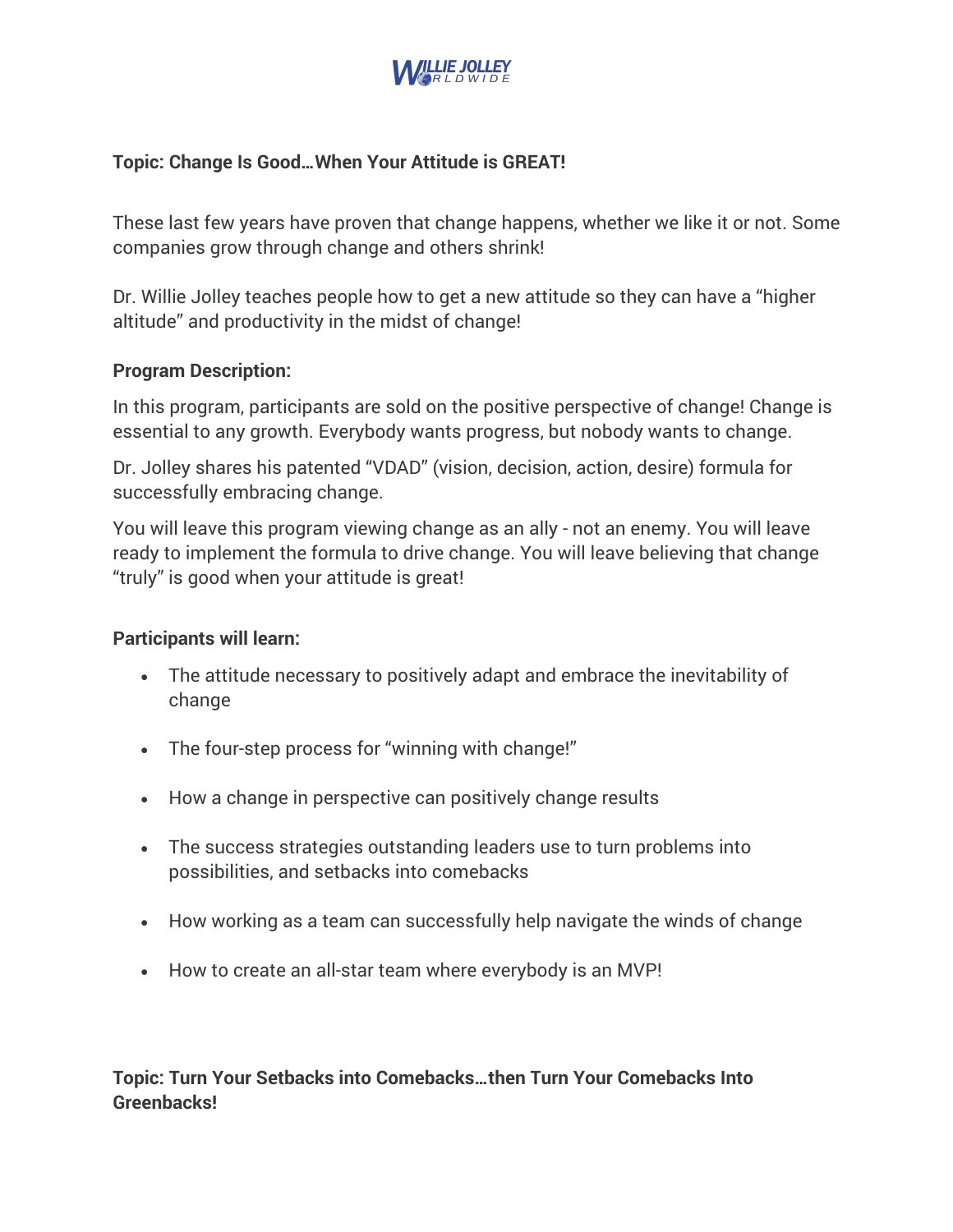

# **Topic: Change Is Good…When Your Attitude is GREAT!**

These last few years have proven that change happens, whether we like it or not. Some companies grow through change and others shrink!

Dr. Willie Jolley teaches people how to get a new attitude so they can have a "higher altitude" and productivity in the midst of change!

## **Program Description:**

In this program, participants are sold on the positive perspective of change! Change is essential to any growth. Everybody wants progress, but nobody wants to change.

Dr. Jolley shares his patented "VDAD" (vision, decision, action, desire) formula for successfully embracing change.

You will leave this program viewing change as an ally - not an enemy. You will leave ready to implement the formula to drive change. You will leave believing that change "truly" is good when your attitude is great!

#### **Participants will learn:**

- The attitude necessary to positively adapt and embrace the inevitability of change
- The four-step process for "winning with change!"
- How a change in perspective can positively change results
- The success strategies outstanding leaders use to turn problems into possibilities, and setbacks into comebacks
- How working as a team can successfully help navigate the winds of change
- How to create an all-star team where everybody is an MVP!

**Topic: Turn Your Setbacks into Comebacks…then Turn Your Comebacks Into Greenbacks!**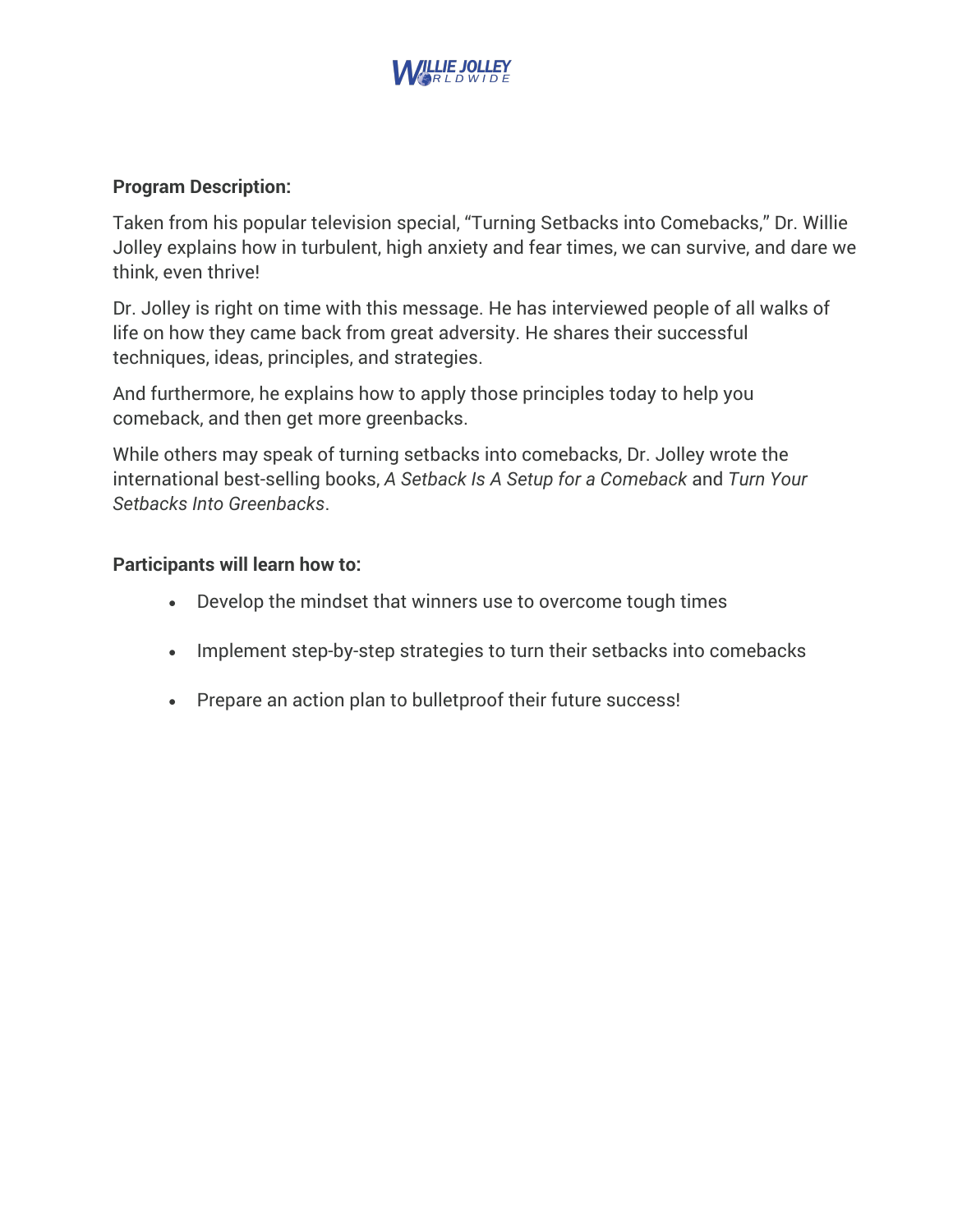

## **Program Description:**

Taken from his popular television special, "Turning Setbacks into Comebacks," Dr. Willie Jolley explains how in turbulent, high anxiety and fear times, we can survive, and dare we think, even thrive!

Dr. Jolley is right on time with this message. He has interviewed people of all walks of life on how they came back from great adversity. He shares their successful techniques, ideas, principles, and strategies.

And furthermore, he explains how to apply those principles today to help you comeback, and then get more greenbacks.

While others may speak of turning setbacks into comebacks, Dr. Jolley wrote the international best-selling books, *A Setback Is A Setup for a Comeback* and *Turn Your Setbacks Into Greenbacks*.

### **Participants will learn how to:**

- Develop the mindset that winners use to overcome tough times
- Implement step-by-step strategies to turn their setbacks into comebacks
- Prepare an action plan to bulletproof their future success!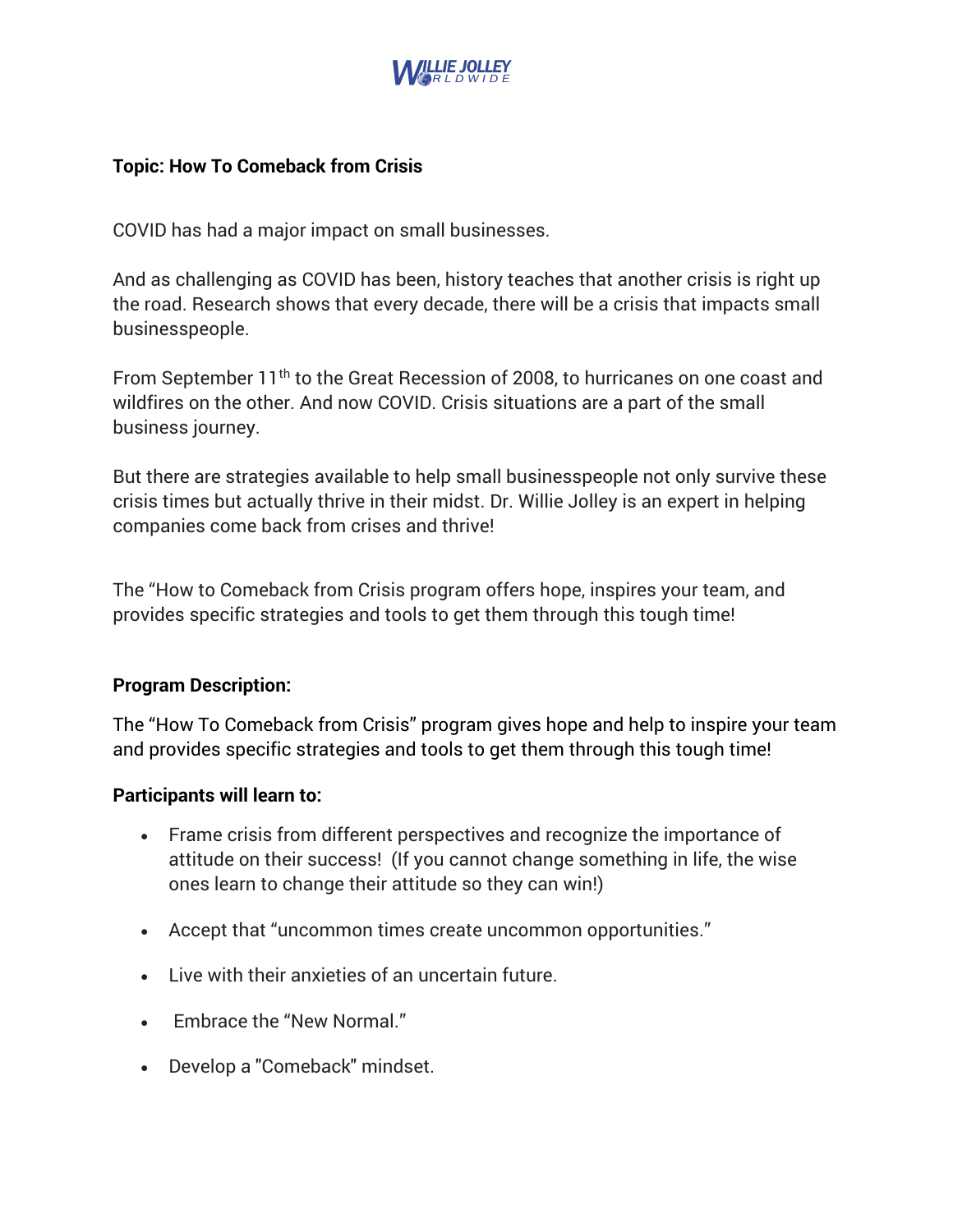

## **Topic: How To Comeback from Crisis**

COVID has had a major impact on small businesses.

And as challenging as COVID has been, history teaches that another crisis is right up the road. Research shows that every decade, there will be a crisis that impacts small businesspeople.

From September 11<sup>th</sup> to the Great Recession of 2008, to hurricanes on one coast and wildfires on the other. And now COVID. Crisis situations are a part of the small business journey.

But there are strategies available to help small businesspeople not only survive these crisis times but actually thrive in their midst. Dr. Willie Jolley is an expert in helping companies come back from crises and thrive!

The "How to Comeback from Crisis program offers hope, inspires your team, and provides specific strategies and tools to get them through this tough time!

#### **Program Description:**

The "How To Comeback from Crisis" program gives hope and help to inspire your team and provides specific strategies and tools to get them through this tough time!

#### **Participants will learn to:**

- Frame crisis from different perspectives and recognize the importance of attitude on their success! (If you cannot change something in life, the wise ones learn to change their attitude so they can win!)
- Accept that "uncommon times create uncommon opportunities."
- Live with their anxieties of an uncertain future.
- Embrace the "New Normal."
- Develop a "Comeback" mindset.